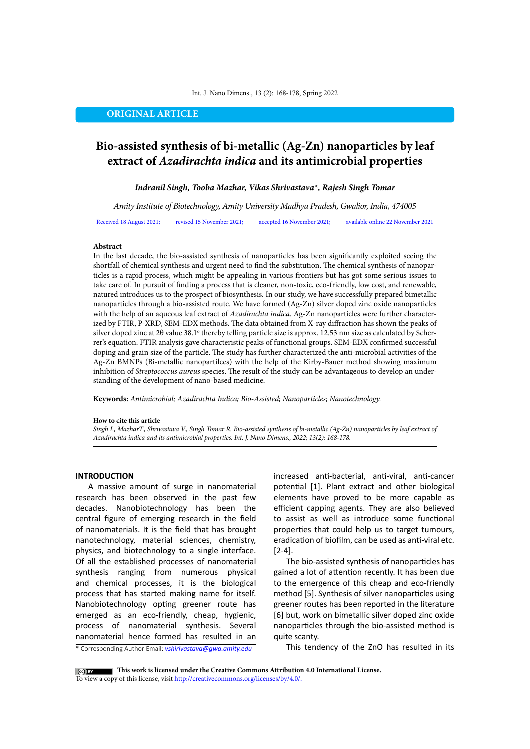#### Int. J. Nano Dimens., 13 (2): 168-178, Spring 2022

# **ORIGINAL ARTICLE**

# **Bio-assisted synthesis of bi-metallic (Ag-Zn) nanoparticles by leaf extract of** *Azadirachta indica* **and its antimicrobial properties**

## *Indranil Singh, Tooba Mazhar, Vikas Shrivastava\*, Rajesh Singh Tomar*

*Amity Institute of Biotechnology, Amity University Madhya Pradesh, Gwalior, India, 474005* Received 18 August 2021; revised 15 November 2021; accepted 16 November 2021; available online 22 November 2021

#### **Abstract**

In the last decade, the bio-assisted synthesis of nanoparticles has been significantly exploited seeing the shortfall of chemical synthesis and urgent need to find the substitution. The chemical synthesis of nanoparticles is a rapid process, which might be appealing in various frontiers but has got some serious issues to take care of. In pursuit of finding a process that is cleaner, non-toxic, eco-friendly, low cost, and renewable, natured introduces us to the prospect of biosynthesis. In our study, we have successfully prepared bimetallic nanoparticles through a bio-assisted route. We have formed (Ag-Zn) silver doped zinc oxide nanoparticles with the help of an aqueous leaf extract of *Azadirachta indica*. Ag-Zn nanoparticles were further characterized by FTIR, P-XRD, SEM-EDX methods. The data obtained from X-ray diffraction has shown the peaks of silver doped zinc at 20 value 38.1° thereby telling particle size is approx. 12.53 nm size as calculated by Scherrer's equation. FTIR analysis gave characteristic peaks of functional groups. SEM-EDX confirmed successful doping and grain size of the particle. The study has further characterized the anti-microbial activities of the Ag-Zn BMNPs (Bi-metallic nanopartilces) with the help of the Kirby-Bauer method showing maximum inhibition of *Streptococcus aureus* species. The result of the study can be advantageous to develop an understanding of the development of nano-based medicine.

**Keywords:** *Antimicrobial; Azadirachta Indica; Bio-Assisted; Nanoparticles; Nanotechnology.*

#### **How to cite this article**

*Singh I., MazharT., Shrivastava V., Singh Tomar R. Bio-assisted synthesis of bi-metallic (Ag-Zn) nanoparticles by leaf extract of Azadirachta indica and its antimicrobial properties. Int. J. Nano Dimens., 2022; 13(2): 168-178.* 

#### **INTRODUCTION**

A massive amount of surge in nanomaterial research has been observed in the past few decades. Nanobiotechnology has been the central figure of emerging research in the field of nanomaterials. It is the field that has brought nanotechnology, material sciences, chemistry, physics, and biotechnology to a single interface. Of all the established processes of nanomaterial synthesis ranging from numerous physical and chemical processes, it is the biological process that has started making name for itself. Nanobiotechnology opting greener route has emerged as an eco-friendly, cheap, hygienic, process of nanomaterial synthesis. Several nanomaterial hence formed has resulted in an

increased anti-bacterial, anti-viral, anti-cancer potential [1]. Plant extract and other biological elements have proved to be more capable as efficient capping agents. They are also believed to assist as well as introduce some functional properties that could help us to target tumours, eradication of biofilm, can be used as anti-viral etc. [2-4].

The bio-assisted synthesis of nanoparticles has gained a lot of attention recently. It has been due to the emergence of this cheap and eco-friendly method [5]. Synthesis of silver nanoparticles using greener routes has been reported in the literature [6] but, work on bimetallic silver doped zinc oxide nanoparticles through the bio-assisted method is quite scanty.

\* Corresponding Author Email: *vshirivastava@gwa.amity.edu* 

This tendency of the ZnO has resulted in its

**This work is licensed under the Creative Commons Attribution 4.0 International License.** To view a copy of this license, visit<http://creativecommons.org/licenses/by/4.0/.>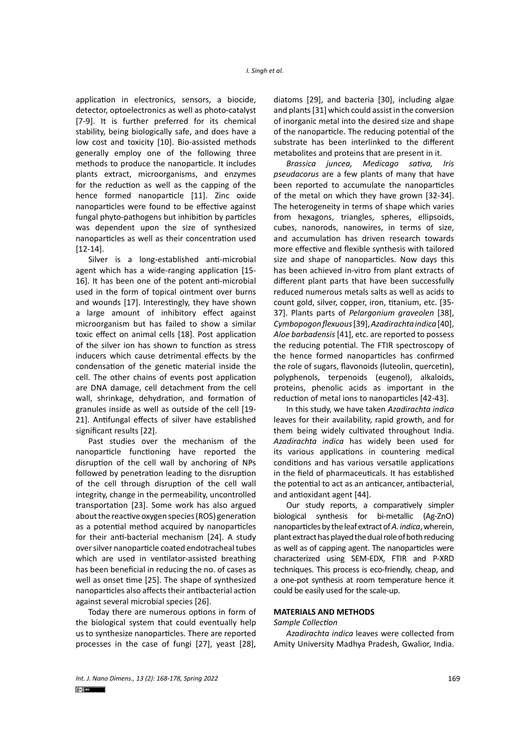application in electronics, sensors, a biocide, detector, optoelectronics as well as photo-catalyst [7-9]. It is further preferred for its chemical stability, being biologically safe, and does have a low cost and toxicity [10]. Bio-assisted methods generally employ one of the following three methods to produce the nanoparticle. It includes plants extract, microorganisms, and enzymes for the reduction as well as the capping of the hence formed nanoparticle [11]. Zinc oxide nanoparticles were found to be effective against fungal phyto-pathogens but inhibition by particles was dependent upon the size of synthesized nanoparticles as well as their concentration used [12-14].

Silver is a long-established anti-microbial agent which has a wide-ranging application [15- 16]. It has been one of the potent anti-microbial used in the form of topical ointment over burns and wounds [17]. Interestingly, they have shown a large amount of inhibitory effect against microorganism but has failed to show a similar toxic effect on animal cells [18]. Post application of the silver ion has shown to function as stress inducers which cause detrimental effects by the condensation of the genetic material inside the cell. The other chains of events post application are DNA damage, cell detachment from the cell wall, shrinkage, dehydration, and formation of granules inside as well as outside of the cell [19- 21]. Antifungal effects of silver have established significant results [22].

Past studies over the mechanism of the nanoparticle functioning have reported the disruption of the cell wall by anchoring of NPs followed by penetration leading to the disruption of the cell through disruption of the cell wall integrity, change in the permeability, uncontrolled transportation [23]. Some work has also argued about the reactive oxygen species (ROS) generation as a potential method acquired by nanoparticles for their anti-bacterial mechanism [24]. A study over silver nanoparticle coated endotracheal tubes which are used in ventilator-assisted breathing has been beneficial in reducing the no. of cases as well as onset time [25]. The shape of synthesized nanoparticles also affects their antibacterial action against several microbial species [26].

Today there are numerous options in form of the biological system that could eventually help us to synthesize nanoparticles. There are reported processes in the case of fungi [27], yeast [28],

diatoms [29], and bacteria [30], including algae and plants [31] which could assist in the conversion of inorganic metal into the desired size and shape of the nanoparticle. The reducing potential of the substrate has been interlinked to the different metabolites and proteins that are present in it.

*Brassica juncea, Medicago sativa, Iris pseudacorus* are a few plants of many that have been reported to accumulate the nanoparticles of the metal on which they have grown [32-34]. The heterogeneity in terms of shape which varies from hexagons, triangles, spheres, ellipsoids, cubes, nanorods, nanowires, in terms of size, and accumulation has driven research towards more effective and flexible synthesis with tailored size and shape of nanoparticles. Now days this has been achieved in-vitro from plant extracts of different plant parts that have been successfully reduced numerous metals salts as well as acids to count gold, silver, copper, iron, titanium, etc. [35- 37]. Plants parts of *Pelargonium graveolen* [38], *Cymbopogon flexuous* [39], *Azadirachta indica* [40], *Aloe barbadensis* [41], etc. are reported to possess the reducing potential. The FTIR spectroscopy of the hence formed nanoparticles has confirmed the role of sugars, flavonoids (luteolin, quercetin), polyphenols, terpenoids (eugenol), alkaloids, proteins, phenolic acids as important in the reduction of metal ions to nanoparticles [42-43].

In this study, we have taken *Azadirachta indica*  leaves for their availability, rapid growth, and for them being widely cultivated throughout India. *Azadirachta indica* has widely been used for its various applications in countering medical conditions and has various versatile applications in the field of pharmaceuticals. It has established the potential to act as an anticancer, antibacterial, and antioxidant agent [44].

Our study reports, a comparatively simpler biological synthesis for bi-metallic (Ag-ZnO) nanoparticles by the leaf extract of *A. indica*,wherein, plant extract has played the dual role of both reducing as well as of capping agent. The nanoparticles were characterized using SEM-EDX, FTIR and P-XRD techniques. This process is eco-friendly, cheap, and a one-pot synthesis at room temperature hence it could be easily used for the scale-up.

## **MATERIALS AND METHODS**

#### *Sample Collection*

*Azadirachta indica* leaves were collected from Amity University Madhya Pradesh, Gwalior, India.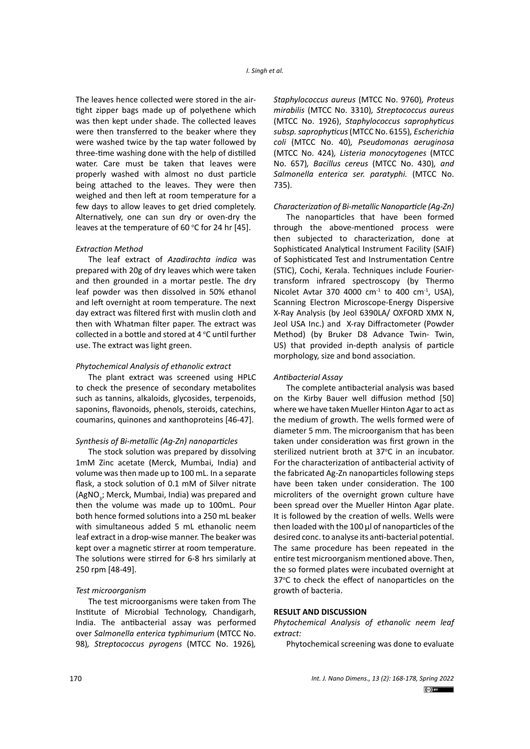The leaves hence collected were stored in the airtight zipper bags made up of polyethene which was then kept under shade. The collected leaves were then transferred to the beaker where they were washed twice by the tap water followed by three-time washing done with the help of distilled water. Care must be taken that leaves were properly washed with almost no dust particle being attached to the leaves. They were then weighed and then left at room temperature for a few days to allow leaves to get dried completely. Alternatively, one can sun dry or oven-dry the leaves at the temperature of 60  $\degree$ C for 24 hr [45].

## *Extraction Method*

The leaf extract of *Azadirachta indica* was prepared with 20g of dry leaves which were taken and then grounded in a mortar pestle. The dry leaf powder was then dissolved in 50% ethanol and left overnight at room temperature. The next day extract was filtered first with muslin cloth and then with Whatman filter paper. The extract was collected in a bottle and stored at  $4^{\circ}$ C until further use. The extract was light green.

## *Phytochemical Analysis of ethanolic extract*

The plant extract was screened using HPLC to check the presence of secondary metabolites such as tannins, alkaloids, glycosides, terpenoids, saponins, flavonoids, phenols, steroids, catechins, coumarins, quinones and xanthoproteins [46-47].

#### *Synthesis of Bi-metallic (Ag-Zn) nanoparticles*

The stock solution was prepared by dissolving 1mM Zinc acetate (Merck, Mumbai, India) and volume was then made up to 100 mL. In a separate flask, a stock solution of 0.1 mM of Silver nitrate (AgNO<sub>3</sub>; Merck, Mumbai, India) was prepared and then the volume was made up to 100mL. Pour both hence formed solutions into a 250 mL beaker with simultaneous added 5 mL ethanolic neem leaf extract in a drop-wise manner. The beaker was kept over a magnetic stirrer at room temperature. The solutions were stirred for 6-8 hrs similarly at 250 rpm [48-49].

#### *Test microorganism*

The test microorganisms were taken from The Institute of Microbial Technology, Chandigarh, India. The antibacterial assay was performed over *Salmonella enterica typhimurium* (MTCC No. 98)*, Streptococcus pyrogens* (MTCC No. 1926)*,* 

*Staphylococcus aureus* (MTCC No. 9760)*, Proteus mirabilis* (MTCC No. 3310)*, Streptococcus aureus*  (MTCC No. 1926), *Staphylococcus saprophyticus subsp. saprophyticus* (MTCC No. 6155)*, Escherichia coli* (MTCC No. 40)*, Pseudomonas aeruginosa*  (MTCC No. 424)*, Listeria monocytogenes* (MTCC No. 657)*, Bacillus cereus* (MTCC No. 430)*, and Salmonella enterica ser. paratyphi.* (MTCC No. 735).

#### *Characterization of Bi-metallic Nanoparticle (Ag-Zn)*

The nanoparticles that have been formed through the above-mentioned process were then subjected to characterization, done at Sophisticated Analytical Instrument Facility (SAIF) of Sophisticated Test and Instrumentation Centre (STIC), Cochi, Kerala. Techniques include Fouriertransform infrared spectroscopy (by Thermo Nicolet Avtar 370 4000  $cm<sup>-1</sup>$  to 400  $cm<sup>-1</sup>$ , USA), Scanning Electron Microscope-Energy Dispersive X-Ray Analysis (by Jeol 6390LA/ OXFORD XMX N, Jeol USA Inc.) and X-ray Diffractometer (Powder Method) (by Bruker D8 Advance Twin- Twin, US) that provided in-depth analysis of particle morphology, size and bond association.

## *Antibacterial Assay*

The complete antibacterial analysis was based on the Kirby Bauer well diffusion method [50] where we have taken Mueller Hinton Agar to act as the medium of growth. The wells formed were of diameter 5 mm. The microorganism that has been taken under consideration was first grown in the sterilized nutrient broth at 37°C in an incubator. For the characterization of antibacterial activity of the fabricated Ag-Zn nanoparticles following steps have been taken under consideration. The 100 microliters of the overnight grown culture have been spread over the Mueller Hinton Agar plate. It is followed by the creation of wells. Wells were then loaded with the 100 μl of nanoparticles of the desired conc. to analyse its anti-bacterial potential. The same procedure has been repeated in the entire test microorganism mentioned above. Then, the so formed plates were incubated overnight at 37°C to check the effect of nanoparticles on the growth of bacteria.

## **RESULT AND DISCUSSION**

*Phytochemical Analysis of ethanolic neem leaf extract:*

Phytochemical screening was done to evaluate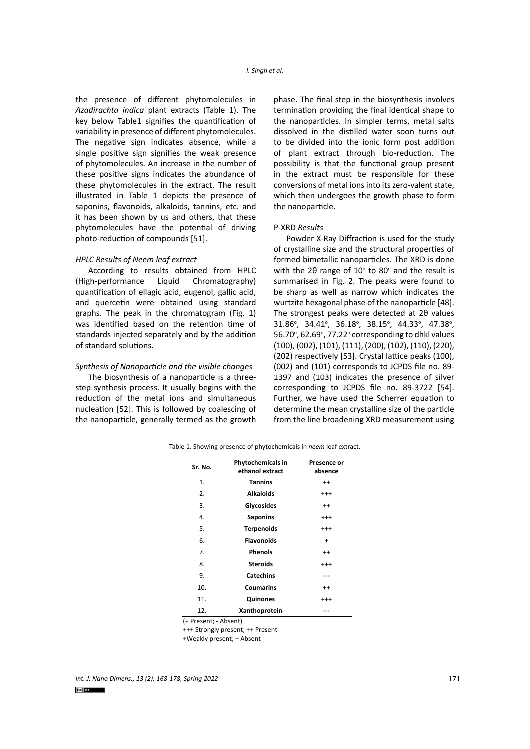the presence of different phytomolecules in *Azadirachta indica* plant extracts (Table 1). The key below Table1 signifies the quantification of variability in presence of different phytomolecules. The negative sign indicates absence, while a single positive sign signifies the weak presence of phytomolecules. An increase in the number of these positive signs indicates the abundance of these phytomolecules in the extract. The result illustrated in Table 1 depicts the presence of saponins, flavonoids, alkaloids, tannins, etc. and it has been shown by us and others, that these phytomolecules have the potential of driving photo-reduction of compounds [51].

## *HPLC Results of Neem leaf extract*

According to results obtained from HPLC (High-performance Liquid Chromatography) quantification of ellagic acid, eugenol, gallic acid, and quercetin were obtained using standard graphs. The peak in the chromatogram (Fig. 1) was identified based on the retention time of standards injected separately and by the addition of standard solutions.

## *Synthesis of Nanoparticle and the visible changes*

The biosynthesis of a nanoparticle is a threestep synthesis process. It usually begins with the reduction of the metal ions and simultaneous nucleation [52]. This is followed by coalescing of the nanoparticle, generally termed as the growth

phase. The final step in the biosynthesis involves termination providing the final identical shape to the nanoparticles. In simpler terms, metal salts dissolved in the distilled water soon turns out to be divided into the ionic form post addition of plant extract through bio-reduction. The possibility is that the functional group present in the extract must be responsible for these conversions of metal ions into its zero-valent state, which then undergoes the growth phase to form the nanoparticle.

## P-XRD *Results*

Powder X-Ray Diffraction is used for the study of crystalline size and the structural properties of formed bimetallic nanoparticles. The XRD is done with the 20 range of  $10^{\circ}$  to 80 $^{\circ}$  and the result is summarised in Fig. 2. The peaks were found to be sharp as well as narrow which indicates the wurtzite hexagonal phase of the nanoparticle [48]. The strongest peaks were detected at 2θ values 31.86°, 34.41°, 36.18°, 38.15°, 44.33°, 47.38°, 56.70°, 62.69°, 77.22° corresponding to dhkl values (100), (002), (101), (111), (200), (102), (110), (220), (202) respectively [53]. Crystal lattice peaks (100), (002) and (101) corresponds to JCPDS file no. 89- 1397 and (103) indicates the presence of silver corresponding to JCPDS file no. 89-3722 [54]. Further, we have used the Scherrer equation to determine the mean crystalline size of the particle from the line broadening XRD measurement using

| Sr. No. | Phytochemicals in<br>ethanol extract | Presence or<br>absence |  |  |
|---------|--------------------------------------|------------------------|--|--|
| 1.      | <b>Tannins</b><br>$^{++}$            |                        |  |  |
| 2.      | <b>Alkaloids</b>                     | $^{+ + +}$             |  |  |
| 3.      | Glycosides                           | $^{++}$                |  |  |
| 4.      | <b>Saponins</b>                      | $^{++}$                |  |  |
| 5.      | <b>Terpenoids</b>                    | $^{++}$                |  |  |
| 6.      | <b>Flavonoids</b>                    | $\ddot{}$              |  |  |
| 7.      | <b>Phenols</b>                       | $^{++}$                |  |  |
| 8.      | <b>Steroids</b>                      | $^{+++}$               |  |  |
| 9.      | <b>Catechins</b>                     | ---                    |  |  |
| 10.     | <b>Coumarins</b>                     | $++$                   |  |  |
| 11.     | Quinones                             | $^{++}$                |  |  |
| 12.     | Xanthoprotein                        |                        |  |  |

Table 1. Showing presence of phytochemicals in *neem* leaf extract.

(+ Present; ‐ Absent)

+++ Strongly present; ++ Present

+Weakly present; – Absent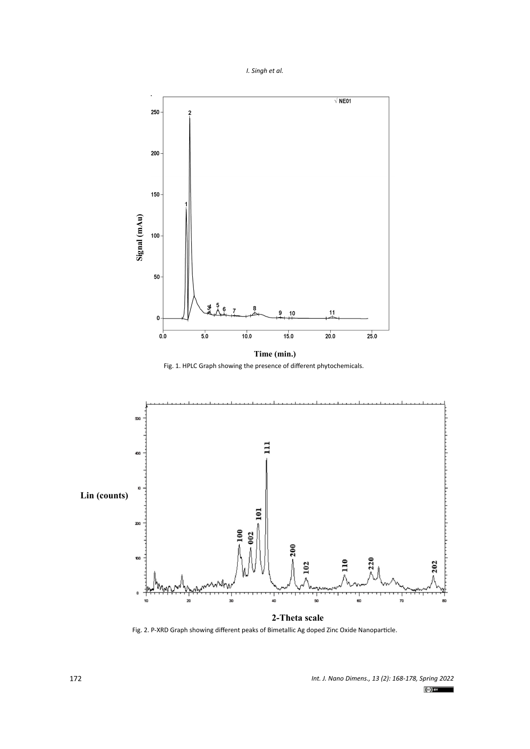



Fig. 1. HPLC Graph showing the presence of different phytochemicals.



Fig. 2. P-XRD Graph showing different peaks of Bimetallic Ag doped Zinc Oxide Nanoparticle.

*Int. J. Nano Dimens., 13 (2): 168-178, Spring 2022*  $(cc)$  BY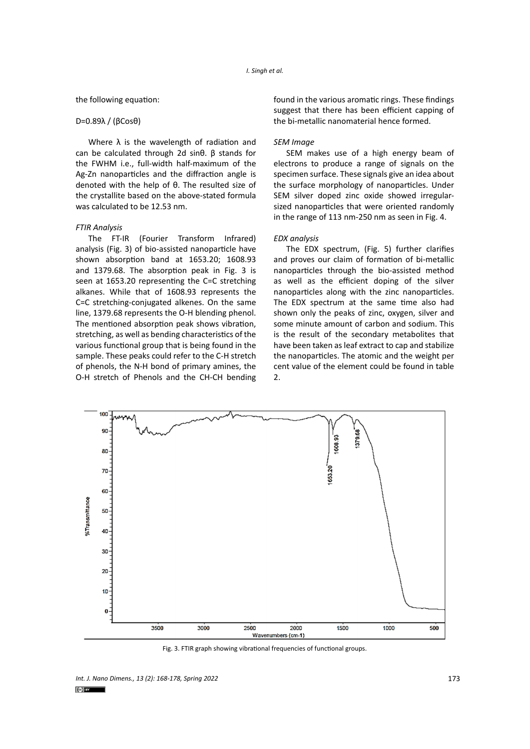#### the following equation:

#### D=0.89λ / (βCosθ)

Where  $\lambda$  is the wavelength of radiation and can be calculated through 2d sinθ. β stands for the FWHM i.e., full-width half-maximum of the Ag-Zn nanoparticles and the diffraction angle is denoted with the help of θ. The resulted size of the crystallite based on the above-stated formula was calculated to be 12.53 nm.

# *FTIR Analysis*

The FT-IR (Fourier Transform Infrared) analysis (Fig. 3) of bio-assisted nanoparticle have shown absorption band at 1653.20; 1608.93 and 1379.68. The absorption peak in Fig. 3 is seen at 1653.20 representing the C=C stretching alkanes. While that of 1608.93 represents the C=C stretching-conjugated alkenes. On the same line, 1379.68 represents the O-H blending phenol. The mentioned absorption peak shows vibration, stretching, as well as bending characteristics of the various functional group that is being found in the sample. These peaks could refer to the C-H stretch of phenols, the N-H bond of primary amines, the O-H stretch of Phenols and the CH-CH bending

found in the various aromatic rings. These findings suggest that there has been efficient capping of the bi-metallic nanomaterial hence formed.

## *SEM Image*

SEM makes use of a high energy beam of electrons to produce a range of signals on the specimen surface. These signals give an idea about the surface morphology of nanoparticles. Under SEM silver doped zinc oxide showed irregularsized nanoparticles that were oriented randomly in the range of 113 nm-250 nm as seen in Fig. 4.

#### *EDX analysis*

The EDX spectrum, (Fig. 5) further clarifies and proves our claim of formation of bi-metallic nanoparticles through the bio-assisted method as well as the efficient doping of the silver nanoparticles along with the zinc nanoparticles. The EDX spectrum at the same time also had shown only the peaks of zinc, oxygen, silver and some minute amount of carbon and sodium. This is the result of the secondary metabolites that have been taken as leaf extract to cap and stabilize the nanoparticles. The atomic and the weight per cent value of the element could be found in table 2.



Fig. 3. FTIR graph showing vibrational frequencies of functional groups.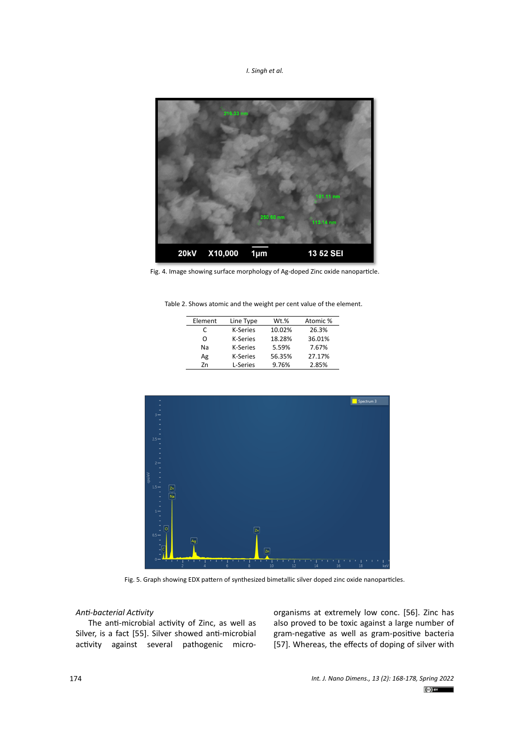*I. Singh et al.*



Fig. 4. Image showing surface morphology of Ag-doped Zinc oxide nanoparticle.

Table 2: Shows atomic and the weight per cent value of the element. Table 2. Shows atomic and the weight per cent value of the element.

| Element | Line Type       | Wt.%   | Atomic % |
|---------|-----------------|--------|----------|
| C       | <b>K-Series</b> | 10.02% | 26.3%    |
| O       | <b>K-Series</b> | 18.28% | 36.01%   |
| Na      | <b>K-Series</b> | 5.59%  | 7.67%    |
| Ag      | <b>K-Series</b> | 56.35% | 27.17%   |
| 7n      | L-Series        | 9.76%  | 2.85%    |



Fig. 5. Graph showing EDX pattern of synthesized bimetallic silver doped zinc oxide nanoparticles.

# *Anti-bacterial Activity*

The anti-microbial activity of Zinc, as well as Silver, is a fact [55]. Silver showed anti-microbial activity against several pathogenic microorganisms at extremely low conc. [56]. Zinc has also proved to be toxic against a large number of gram-negative as well as gram-positive bacteria [57]. Whereas, the effects of doping of silver with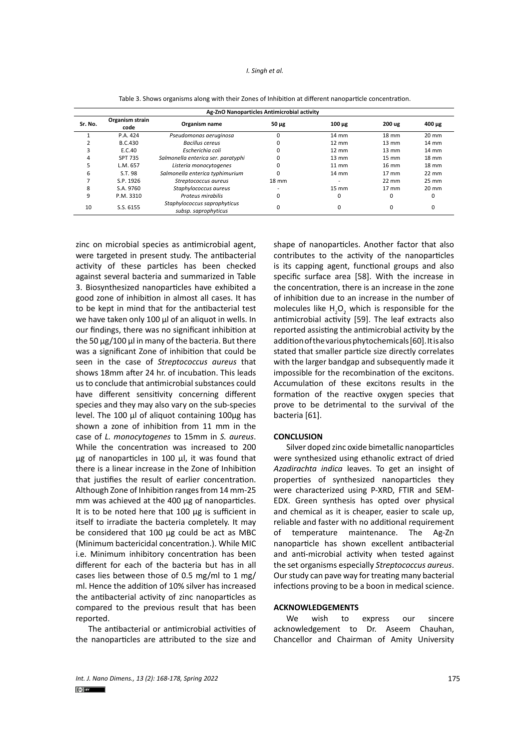#### *I. Singh et al.*

| Ag-ZnO Nanoparticles Antimicrobial activity |                         |                                                      |                 |                 |                 |                 |  |  |
|---------------------------------------------|-------------------------|------------------------------------------------------|-----------------|-----------------|-----------------|-----------------|--|--|
| Sr. No.                                     | Organism strain<br>code | Organism name                                        | $50 \mu g$      | $100 \mu$ g     | 200 ug          | $400 \mu g$     |  |  |
|                                             | P.A. 424                | Pseudomonas aeruginosa                               |                 | $14 \text{ mm}$ | 18 mm           | $20 \text{ mm}$ |  |  |
|                                             | <b>B.C.430</b>          | <b>Bacillus cereus</b>                               |                 | $12 \text{ mm}$ | $13 \text{ mm}$ | $14 \text{ mm}$ |  |  |
| 3                                           | E.C.40                  | Escherichia coli                                     |                 | $12 \text{ mm}$ | $13 \text{ mm}$ | $14 \text{ mm}$ |  |  |
| 4                                           | <b>SPT 735</b>          | Salmonella enterica ser. paratyphi                   |                 | $13 \text{ mm}$ | $15 \text{ mm}$ | $18 \text{ mm}$ |  |  |
| 5                                           | L.M. 657                | Listeria monocytogenes                               |                 | $11 \text{ mm}$ | $16 \text{ mm}$ | $18 \text{ mm}$ |  |  |
| 6                                           | S.T. 98                 | Salmonella enterica typhimurium                      |                 | $14 \text{ mm}$ | $17 \text{ mm}$ | $22 \text{ mm}$ |  |  |
|                                             | S.P. 1926               | Streptococcus aureus                                 | $18 \text{ mm}$ |                 | $22 \text{ mm}$ | 25 mm           |  |  |
| 8                                           | S.A. 9760               | Staphylococcus aureus                                |                 | $15 \text{ mm}$ | $17 \text{ mm}$ | $20 \text{ mm}$ |  |  |
| 9                                           | P.M. 3310               | Proteus mirabilis                                    | 0               | $\Omega$        | $\Omega$        |                 |  |  |
| 10                                          | S.S. 6155               | Staphylococcus saprophyticus<br>subsp. saprophyticus |                 | 0               | 0               | 0               |  |  |

Table 3. Shows organisms along with their Zones of Inhibition at different nanoparticle concentration.

zinc on microbial species as antimicrobial agent, were targeted in present study. The antibacterial activity of these particles has been checked against several bacteria and summarized in Table 3. Biosynthesized nanoparticles have exhibited a good zone of inhibition in almost all cases. It has to be kept in mind that for the antibacterial test we have taken only 100 μl of an aliquot in wells. In our findings, there was no significant inhibition at the 50 μg/100 μl in many of the bacteria. But there was a significant Zone of inhibition that could be seen in the case of *Streptococcus aureus* that shows 18mm after 24 hr. of incubation. This leads us to conclude that antimicrobial substances could have different sensitivity concerning different species and they may also vary on the sub-species level. The 100 μl of aliquot containing 100μg has shown a zone of inhibition from 11 mm in the case of *L. monocytogenes* to 15mm in *S. aureus*. While the concentration was increased to 200 μg of nanoparticles in 100 μl, it was found that there is a linear increase in the Zone of Inhibition that justifies the result of earlier concentration. Although Zone of Inhibition ranges from 14 mm-25 mm was achieved at the 400 μg of nanoparticles. It is to be noted here that 100 μg is sufficient in itself to irradiate the bacteria completely. It may be considered that 100 μg could be act as MBC (Minimum bactericidal concentration.). While MIC i.e. Minimum inhibitory concentration has been different for each of the bacteria but has in all cases lies between those of 0.5 mg/ml to 1 mg/ ml. Hence the addition of 10% silver has increased the antibacterial activity of zinc nanoparticles as compared to the previous result that has been reported.

The antibacterial or antimicrobial activities of the nanoparticles are attributed to the size and shape of nanoparticles. Another factor that also contributes to the activity of the nanoparticles is its capping agent, functional groups and also specific surface area [58]. With the increase in the concentration, there is an increase in the zone of inhibition due to an increase in the number of molecules like  $H_2O_2$  which is responsible for the antimicrobial activity [59]. The leaf extracts also reported assisting the antimicrobial activity by the addition of the various phytochemicals [60]. It is also stated that smaller particle size directly correlates with the larger bandgap and subsequently made it impossible for the recombination of the excitons. Accumulation of these excitons results in the formation of the reactive oxygen species that prove to be detrimental to the survival of the bacteria [61].

#### **CONCLUSION**

Silver doped zinc oxide bimetallic nanoparticles were synthesized using ethanolic extract of dried *Azadirachta indica* leaves. To get an insight of properties of synthesized nanoparticles they were characterized using P-XRD, FTIR and SEM-EDX. Green synthesis has opted over physical and chemical as it is cheaper, easier to scale up, reliable and faster with no additional requirement of temperature maintenance. The Ag-Zn nanoparticle has shown excellent antibacterial and anti-microbial activity when tested against the set organisms especially *Streptococcus aureus*. Our study can pave way for treating many bacterial infections proving to be a boon in medical science.

# **ACKNOWLEDGEMENTS**

We wish to express our sincere acknowledgement to Dr. Aseem Chauhan, Chancellor and Chairman of Amity University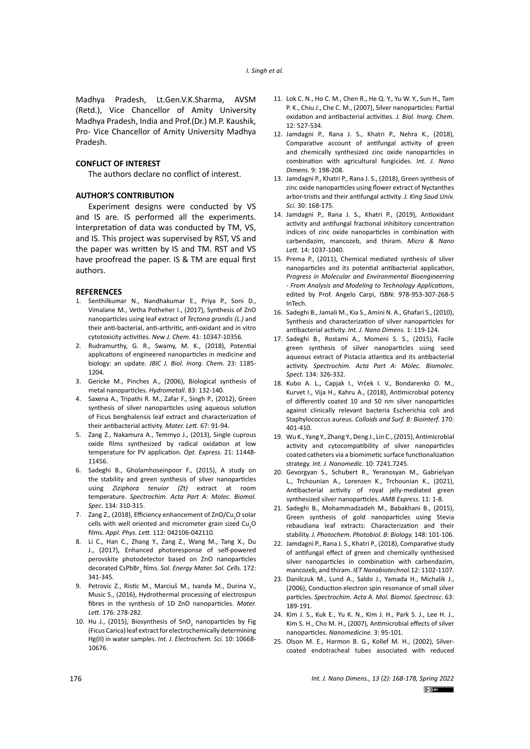Madhya Pradesh, Lt.Gen.V.K.Sharma, AVSM (Retd.), Vice Chancellor of Amity University Madhya Pradesh, India and Prof.(Dr.) M.P. Kaushik, Pro- Vice Chancellor of Amity University Madhya Pradesh.

## **CONFLICT OF INTEREST**

The authors declare no conflict of interest.

## **AUTHOR'S CONTRIBUTION**

Experiment designs were conducted by VS and IS are. IS performed all the experiments. Interpretation of data was conducted by TM, VS, and IS. This project was supervised by RST, VS and the paper was written by IS and TM. RST and VS have proofread the paper. IS & TM are equal first authors.

## **REFERENCES**

- 1. Senthilkumar N., Nandhakumar E., Priya P., Soni D., Vimalane M., Vetha Potheher I., (2017), Synthesis of ZnO nanoparticles using leaf extract of *Tectona grandis (L.)* and their anti-bacterial, anti-arthritic, anti-oxidant and in vitro cytotoxicity activities. *New J. Chem.* 41: 10347-10356.
- 2. Rudramurthy, G. R., Swamy, M. K., (2018), Potential applications of engineered nanoparticles in medicine and biology: an update. *JBIC J. Biol. Inorg. Chem.* 23: 1185- 1204.
- 3. Gericke M., Pinches A., (2006), Biological synthesis of metal nanoparticles. *Hydrometall*. 83: 132-140.
- 4. Saxena A., Tripathi R. M., Zafar F., Singh P., (2012), Green synthesis of silver nanoparticles using aqueous solution of Ficus benghalensis leaf extract and characterization of their antibacterial activity. *Mater. Lett.* 67: 91-94.
- 5. Zang Z., Nakamura A., Temmyo J., (2013), Single cuprous oxide films synthesized by radical oxidation at low temperature for PV application. *Opt. Express.* 21: 11448- 11456.
- 6. Sadeghi B., Gholamhoseinpoor F., (2015), A study on the stability and green synthesis of silver nanoparticles using *Ziziphora tenuior (Zt)* extract at room temperature. *Spectrochim. Acta Part A: Molec. Biomol. Spec.* 134: 310-315.
- 7. Zang Z., (2018), Efficiency enhancement of ZnO/Cu<sub>2</sub>O solar cells with well oriented and micrometer grain sized  $Cu<sub>2</sub>O$ films. *Appl. Phys. Lett.* 112: 042106-042110.
- 8. Li C., Han C., Zhang Y., Zang Z., Wang M., Tang X., Du J., (2017), Enhanced photoresponse of self-powered perovskite photodetector based on ZnO nanoparticles decorated CsPbBr<sub>3</sub> films. Sol. Energy Mater. Sol. Cells. 172: 341-345.
- 9. Petrovic Z., Ristic M., Marciuš M., Ivanda M., Durina V., Music S., (2016), Hydrothermal processing of electrospun fibres in the synthesis of 1D ZnO nanoparticles. *Mater. Lett.* 176: 278-282.
- 10. Hu J., (2015), Biosynthesis of SnO<sub>2</sub> nanoparticles by Fig (Ficus Carica) leaf extract for electrochemically determining Hg(II) in water samples. *Int. J. Electrochem. Sci.* 10: 10668- 10676.
- 11. Lok C. N., Ho C. M., Chen R., He Q. Y., Yu W. Y., Sun H., Tam P. K., Chiu J., Che C. M., (2007), Silver nanoparticles: Partial oxidation and antibacterial activities. *J. Biol. Inorg. Chem.* 12: 527-534.
- 12. Jamdagni P., Rana J. S., Khatri P., Nehra K., (2018), Comparative account of antifungal activity of green and chemically synthesized zinc oxide nanoparticles in combination with agricultural fungicides. *Int. J. Nano Dimens.* 9: 198-208.
- 13. Jamdagni P., Khatri P., Rana J. S., (2018), Green synthesis of zinc oxide nanoparticles using flower extract of Nyctanthes arbor-tristis and their antifungal activity. *J. King Saud Univ. Sci.* 30: 168-175.
- 14. Jamdagni P., Rana J. S., Khatri P., (2019), Antioxidant activity and antifungal fractional inhibitory concentration indices of zinc oxide nanoparticles in combination with carbendazim, mancozeb, and thiram. *Micro & Nano Lett.* 14: 1037-1040.
- 15. Prema P., (2011), Chemical mediated synthesis of silver nanoparticles and its potential antibacterial application, *Progress in Molecular and Environmental Bioengineering - From Analysis and Modeling to Technology Applications*, edited by Prof. Angelo Carpi, ISBN: 978-953-307-268-5 InTech.
- 16. Sadeghi B., Jamali M., Kia S., Amini N. A., Ghafari S., (2010), Synthesis and characterization of silver nanoparticles for antibacterial activity. *Int. J. Nano Dimens.* 1: 119-124.
- 17. Sadeghi B., Rostami A., Momeni S. S., (2015), Facile green synthesis of silver nanoparticles using seed aqueous extract of Pistacia atlantica and its antibacterial activity. *Spectrochim. Acta Part A: Molec. Biomolec. Spect.* 134: 326-332.
- 18. Kubo A. L., Capjak I., Vrček I. V., Bondarenko O. M., Kurvet I., Vija H., Kahru A., (2018), Antimicrobial potency of differently coated 10 and 50 nm silver nanoparticles against clinically relevant bacteria Escherichia coli and Staphylococcus aureus. *Colloids and Surf. B: Biointerf.* 170: 401-410.
- 19. Wu K., Yang Y., Zhang Y., Deng J., Lin C., (2015), Antimicrobial activity and cytocompatibility of silver nanoparticles coated catheters via a biomimetic surface functionalization strategy. *Int. J. Nanomedic.* 10: 7241.7245.
- 20. Gevorgyan S., Schubert R., Yeranosyan M., Gabrielyan L., Trchounian A., Lorenzen K., Trchounian K., (2021), Antibacterial activity of royal jelly-mediated green synthesized silver nanoparticles. *AMB Express*. 11: 1-8.
- 21. Sadeghi B., Mohammadzadeh M., Babakhani B., (2015), Green synthesis of gold nanoparticles using Stevia rebaudiana leaf extracts: Characterization and their stability. *J. Photochem. Photobiol. B: Biology.* 148: 101-106.
- 22. Jamdagni P., Rana J. S., Khatri P., (2018), Comparative study of antifungal effect of green and chemically synthesised silver nanoparticles in combination with carbendazim, mancozeb, and thiram. *IET Nanobiotechnol.*12: 1102-1107.
- 23. Danilczuk M., Lund A., Saldo J., Yamada H., Michalik J., (2006), Conduction electron spin resonance of small silver particles. *Spectrochim. Acta A. Mol. Biomol. Spectrosc.* 63: 189-191.
- 24. Kim J. S., Kuk E., Yu K. N., Kim J. H., Park S. J., Lee H. J., Kim S. H., Cho M. H., (2007), Antimicrobial effects of silver nanoparticles. *Nanomedicine.* 3: 95-101.
- 25. Olson M. E., Harmon B. G., Kollef M. H., (2002), Silvercoated endotracheal tubes associated with reduced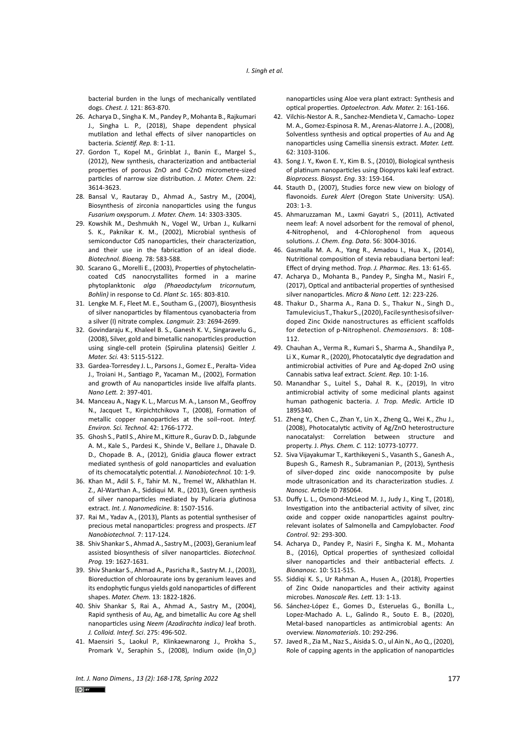bacterial burden in the lungs of mechanically ventilated dogs. *Chest. J.* 121: 863-870.

- 26. Acharya D., Singha K. M., Pandey P., Mohanta B., Rajkumari J., Singha L. P., (2018), Shape dependent physical mutilation and lethal effects of silver nanoparticles on bacteria. *Scientif. Rep.* 8: 1-11.
- 27. Gordon T., Kopel M., Grinblat J., Banin E., Margel S., (2012), New synthesis, characterization and antibacterial properties of porous ZnO and C-ZnO micrometre-sized particles of narrow size distribution. *J. Mater. Chem.* 22: 3614-3623.
- 28. Bansal V., Rautaray D., Ahmad A., Sastry M., (2004), Biosynthesis of zirconia nanoparticles using the fungus *Fusarium* oxysporum. *J. Mater. Chem.* 14: 3303-3305.
- 29. Kowshik M., Deshmukh N., Vogel W., Urban J., Kulkarni S. K., Paknikar K. M., (2002), Microbial synthesis of semiconductor CdS nanoparticles, their characterization, and their use in the fabrication of an ideal diode. *Biotechnol. Bioeng.* 78: 583-588.
- 30. Scarano G., Morelli E., (2003), Properties of phytochelatincoated CdS nanocrystallites formed in a marine phytoplanktonic *alga (Phaeodactylum tricornutum, Bohlin)* in response to Cd. *Plant Sc*. 165: 803-810.
- 31. Lengke M. F., Fleet M. E., Southam G., (2007), Biosynthesis of silver nanoparticles by filamentous cyanobacteria from a silver (I) nitrate complex. *Langmuir.* 23: 2694-2699.
- 32. Govindaraju K., Khaleel B. S., Ganesh K. V., Singaravelu G., (2008), Silver, gold and bimetallic nanoparticles production using single-cell protein (Spirulina platensis) Geitler *J. Mater. Sci.* 43: 5115-5122.
- 33. Gardea-Torresdey J. L., Parsons J., Gomez E., Peralta- Videa J., Troiani H., Santiago P., Yacaman M., (2002), Formation and growth of Au nanoparticles inside live alfalfa plants. *Nano Lett.* 2: 397-401.
- 34. Manceau A., Nagy K. L., Marcus M. A., Lanson M., Geoffroy N., Jacquet T., Kirpichtchikova T., (2008), Formation of metallic copper nanoparticles at the soil−root. *Interf. Environ. Sci. Technol.* 42: 1766-1772.
- 35. Ghosh S., Patil S., Ahire M., Kitture R., Gurav D. D., Jabgunde A. M., Kale S., Pardesi K., Shinde V., Bellare J., Dhavale D. D., Chopade B. A., (2012), Gnidia glauca flower extract mediated synthesis of gold nanoparticles and evaluation of its chemocatalytic potential. *J. Nanobiotechnol.* 10: 1-9.
- 36. Khan M., Adil S. F., Tahir M. N., Tremel W., Alkhathlan H. Z., Al-Warthan A., Siddiqui M. R., (2013), Green synthesis of silver nanoparticles mediated by Pulicaria glutinosa extract. *Int. J. Nanomedicine.* 8: 1507-1516.
- 37. Rai M., Yadav A., (2013), Plants as potential synthesiser of precious metal nanoparticles: progress and prospects. *IET Nanobiotechnol.* 7: 117-124.
- 38. Shiv Shankar S., Ahmad A., Sastry M., (2003), Geranium leaf assisted biosynthesis of silver nanoparticles. *Biotechnol. Prog.* 19: 1627-1631.
- 39. Shiv Shankar S., Ahmad A., Pasricha R., Sastry M. J., (2003), Bioreduction of chloroaurate ions by geranium leaves and its endophytic fungus yields gold nanoparticles of different shapes. *Mater. Chem.* 13: 1822-1826.
- 40. Shiv Shankar S, Rai A., Ahmad A., Sastry M., (2004), Rapid synthesis of Au, Ag, and bimetallic Au core Ag shell nanoparticles using *Neem (Azadirachta indica)* leaf broth. *J. Colloid. Interf. Sci*. 275: 496-502.
- 41. Maensiri S., Laokul P., Klinkaewnarong J., Prokha S., Promark V., Seraphin S., (2008), Indium oxide  $(\text{In}_{2}O_{3})$

nanoparticles using Aloe vera plant extract: Synthesis and optical properties. *Optoelectron. Adv. Mater.* 2: 161-166.

- 42. Vilchis-Nestor A. R., Sanchez-Mendieta V., Camacho- Lopez M. A., Gomez-Espinosa R. M., Arenas-Alatorre J. A., (2008), Solventless synthesis and optical properties of Au and Ag nanoparticles using Camellia sinensis extract. *Mater. Lett.* 62: 3103-3106.
- 43. Song J. Y., Kwon E. Y., Kim B. S., (2010), Biological synthesis of platinum nanoparticles using Diopyros kaki leaf extract. *Bioprocess. Biosyst. Eng*. 33: 159-164.
- 44. Stauth D., (2007), Studies force new view on biology of flavonoids. *Eurek Alert* (Oregon State University: USA). 203: 1-3.
- 45. Ahmaruzzaman M., Laxmi Gayatri S., (2011), Activated neem leaf: A novel adsorbent for the removal of phenol, 4-Nitrophenol, and 4-Chlorophenol from aqueous solutions. *J. Chem. Eng. Data*. 56: 3004-3016.
- 46. Gasmalla M. A. A., Yang R., Amadou I., Hua X., (2014), Nutritional composition of stevia rebaudiana bertoni leaf: Effect of drying method. *Trop. J. Pharmac. Res.* 13: 61-65.
- 47. Acharya D., Mohanta B., Pandey P., Singha M., Nasiri F., (2017), Optical and antibacterial properties of synthesised silver nanoparticles. *Micro & Nano Lett.* 12: 223-226.
- 48. Thakur D., Sharma A., Rana D. S., Thakur N., Singh D., Tamulevicius T., Thakur S., (2020), Facile synthesis of silverdoped Zinc Oxide nanostructures as efficient scaffolds for detection of p-Nitrophenol. *Chemosensors*. 8: 108- 112.
- 49. Chauhan A., Verma R., Kumari S., Sharma A., Shandilya P., Li X., Kumar R., (2020), Photocatalytic dye degradation and antimicrobial activities of Pure and Ag-doped ZnO using Cannabis sativa leaf extract. *Scient. Rep.* 10: 1-16.
- 50. Manandhar S., Luitel S., Dahal R. K., (2019), In vitro antimicrobial activity of some medicinal plants against human pathogenic bacteria. *J. Trop. Medic.* Article ID 1895340.
- 51. Zheng Y., Chen C., Zhan Y., Lin X., Zheng Q., Wei K., Zhu J., (2008), Photocatalytic activity of Ag/ZnO heterostructure nanocatalyst: Correlation between structure and property. J. *Phys. Chem. C.* 112: 10773-10777.
- 52. Siva Vijayakumar T., Karthikeyeni S., Vasanth S., Ganesh A., Bupesh G., Ramesh R., Subramanian P., (2013), Synthesis of silver-doped zinc oxide nanocomposite by pulse mode ultrasonication and its characterization studies. *J. Nanosc.* Article ID 785064.
- 53. Duffy L. L., Osmond-McLeod M. J., Judy J., King T., (2018), Investigation into the antibacterial activity of silver, zinc oxide and copper oxide nanoparticles against poultryrelevant isolates of Salmonella and Campylobacter. *Food Control*. 92: 293-300.
- 54. Acharya D., Pandey P., Nasiri F., Singha K. M., Mohanta B., (2016), Optical properties of synthesized colloidal silver nanoparticles and their antibacterial effects. *J. Bionanosc.* 10: 511-515.
- 55. Siddiqi K. S., Ur Rahman A., Husen A., (2018), Properties of Zinc Oxide nanoparticles and their activity against microbes. *Nanoscale Res. Lett.* 13: 1-13.
- 56. Sánchez-López E., Gomes D., Esteruelas G., Bonilla L., Lopez-Machado A. L., Galindo R., Souto E. B., (2020), Metal-based nanoparticles as antimicrobial agents: An overview. *Nanomaterials*. 10: 292-296.
- 57. Javed R., Zia M., Naz S., Aisida S. O., ul Ain N., Ao Q., (2020), Role of capping agents in the application of nanoparticles

*Int. J. Nano Dimens., 13 (2): 168-178, Spring 2022* 177  $(c)$  BY